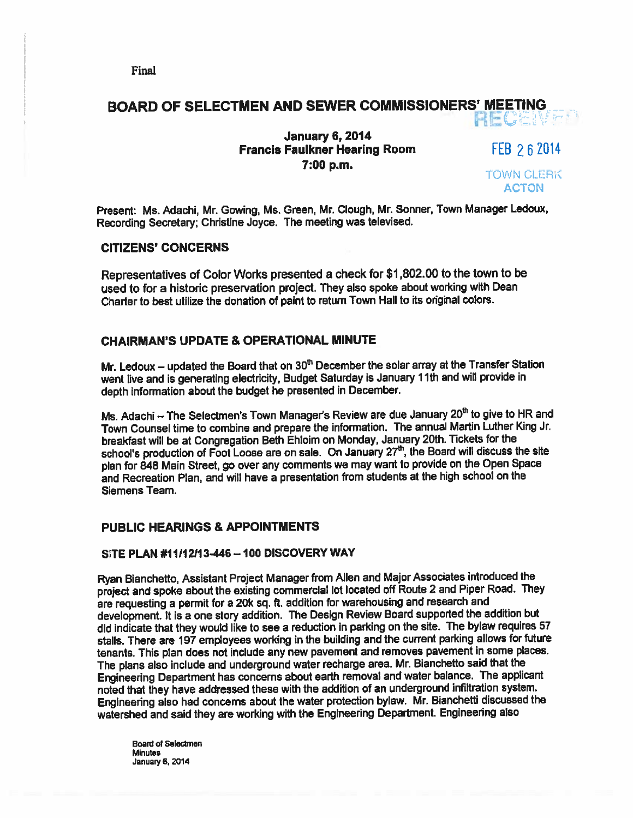## BOARD OF SELECTMEN AND SEWER COMMISSIONERS' MEETING HECAN

## January 6, 2014 Francis Faulkner Hearing Room FEB 262014 7:00 p.m. TOWN CLERK

ACTON

Present: Ms. Adachi, Mr. Gowing, Ms. Green, Mr. Clough, Mr. Sonner, Town Manager Ledoux, Recording Secretary; Christine Joyce. The meeting was televised.

### CITIZENS' CONCERNS

Representatives of Color Works presented <sup>a</sup> check for \$1 .802.00 to the town to be used to for <sup>a</sup> historic preservation project. They also spoke about working with Dean Charter to best utilize the donation of paint to return Town Hall to its original colors.

### CHAIRMAN'S UPDATE & OPERATIONAL MINUTE

Mr. Ledoux – updated the Board that on  $30<sup>th</sup>$  December the solar array at the Transfer Station went live and is generating electricity, Budget Saturday is January 11th and will provide in depth information about the budget he presented in December.

Ms. Adachi  $-$  The Selectmen's Town Manager's Review are due January 20<sup>th</sup> to give to HR and Town Counsel time to combine and prepare the information. The annual Martin Luther King Jr. breakfast will be at Congregation Beth Ehloim on Monday, January 20th. Tickets for the school's production of Foot Loose are on sale. On January  $27<sup>th</sup>$ , the Board will discuss the site <sup>p</sup>lan for <sup>848</sup> Main Street, go over any comments we may want to provide on the Open Space and Recreation Plan, and will have <sup>a</sup> presentation from students at the high school on the Siemens Team.

## PUBLIC HEARINGS & APPOINTMENTS

### SITE PLAN #11112113446 —100 DISCOVERY WAY

Ryan Bianchetto, Assistant Project Manager from Allen and Major Associates introduced the project and spoke about the existing commercial lot located off Route <sup>2</sup> and Piper Road. They are requesting <sup>a</sup> permit for <sup>a</sup> 20k sq. ft. addition for warehousing and research and development. It is <sup>a</sup> one story addition. The Design Review Board supported the addition but did indicate that they would like to see <sup>a</sup> reduction in parking on the site. The bylaw requires <sup>57</sup> stalls. There are <sup>197</sup> employees working in the building and the current parking allows for future tenants. This <sup>p</sup>lan does not include any new pavemen<sup>t</sup> and removes pavemen<sup>t</sup> in some <sup>p</sup>laces. The <sup>p</sup>lans also include and underground water recharge area. Mr Bianchefto said that the Engineering Department has concerns about earth removal and water balance. The applicant noted that they have addressed these with the addition of an underground infiltration system. Engineering also had concerns about the water protection bylaw. Mr. Bianchefti discussed the watershed and said they are working with the Engineering Department. Engineering also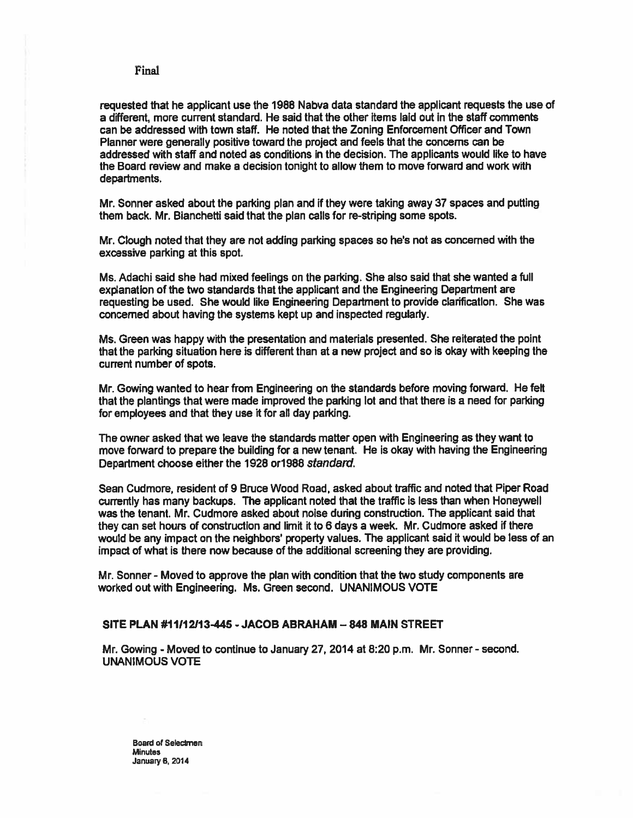requested that he applicant use the 1988 Nabva data standard the applicant requests the use of <sup>a</sup> different, more current standard. He said that the other items laid out in the staff comments can be addressed with town staff. He noted that the Zoning Enforcement Officer and Town Planner were generally positive toward the project and feels that the concerns can be addressed with staff and noted as conditions in the decision. The applicants would like to have the Board review and make <sup>a</sup> decision tonight to allow them to move forward and work with departments.

Mr. Sonner asked about the parking plan and if they were taking away 37 spaces and pulling them back. Mr. Bianchefti said that the plan calls for re-striping some spots.

Mr. Clough noted that they are not adding parking spaces so he's not as concerned with the excessive parking at this spot.

Ms. Adachi said she had mixed feelings on the parking. She also said that she wanted <sup>a</sup> full explanation of the two standards that the applicant and the Engineering Department are requesting be used. She would like Engineering Department to provide clarification. She was concerned about having the systems kept up and inspected regularly.

Ms. Green was happy with the presentation and materials presented. She reiterated the point that the parking situation here is different than at <sup>a</sup> new project and so is okay with keeping the current number of spots.

Mr. Gowing wanted to hear from Engineering on the standards before moving forward. He felt that the plantings that were made improved the parking lot and that there is <sup>a</sup> need for parking for employees and that they use it for all day parking.

The owner asked that we leave the standards matter open with Engineering as they want to move forward to prepare the building for <sup>a</sup> new tenant. He is okay with having the Engineering Department choose either the 1928 or 1988 standard.

Sean Cudmore, resident of 9 Bruce Wood Road, asked about traffic and noted that Piper Road currently has many backups. The applicant noted that the traffic is less than when Honeywell was the tenant. Mr. Cudmore asked about noise during construction. The applicant said that they can set hours of construction and limit ft to 6 days <sup>a</sup> week. Mr. Cudmore asked if there would be any impact on the neighbors' property values. The applicant said it would be less of an impact of what is there now because of the additional screening they are providing.

Mr. Sonner - Moved to approve the plan with condition that the two study components are worked out with Engineering. Ms. Green second. UNANIMOUS VOTE

### SITE PLAN #11112113445 -JACOB ABRAHAM —848 MAIN STREET

Mr. Gowing - Moved to continue to January 27, 2014 at 8:20 p.m. Mr. Sonner - second. UNANIMOUS VOTE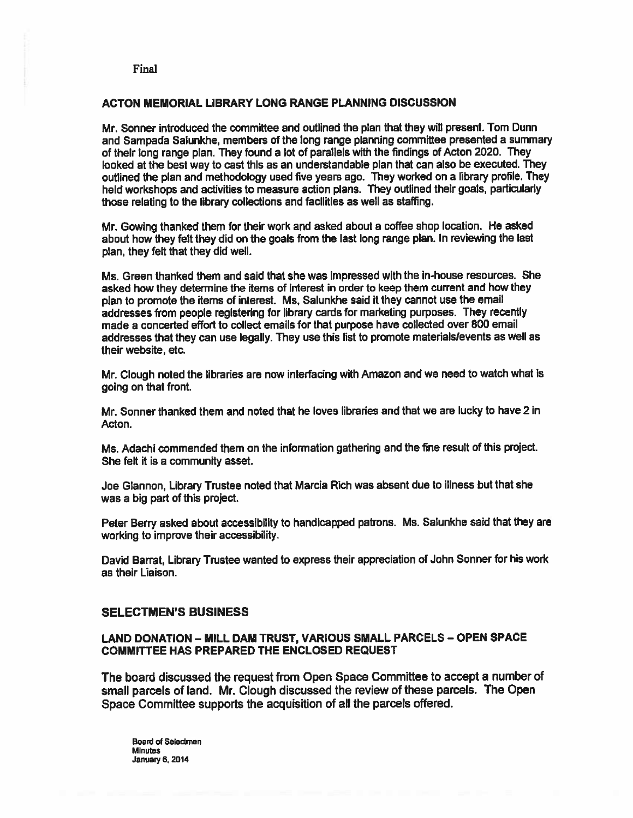### ACTON MEMORIAL LIBRARY LONG RANGE PLANNING DISCUSSION

Mr. Sonner introduced the committee and outlined the plan that they will present. Tom Dunn and Sampada Salunkhe, members of the long range planning committee presented <sup>a</sup> summary of their long range <sup>p</sup>lan. They found <sup>a</sup> lot of parallels with the findings of Acton 2020. They looked at the best way to cast this as an understandable plan that can also be executed. They outlined the <sup>p</sup>lan and methodology used five years ago. They worked on <sup>a</sup> library profile. They held workshops and activities to measure action <sup>p</sup>lans. They outlined their goals, particularly those relating to the library collections and facilities as well as staffing.

Mr. Gowing thanked them for their work and asked about <sup>a</sup> coffee shop location. He asked about how they felt they did on the goals from the last long range <sup>p</sup>lan. In reviewing the last plan, they felt that they did well.

Ms. Green thanked them and said that she was impressed with the in-house resources. She asked how they determine the items of interest in order to keep them current and how they <sup>p</sup>lan to promote the items of interest. Ms, Salunkhe said it they cannot use the email addresses from people registering for library cards for marketing purposes. They recently made <sup>a</sup> concerted effort to collect emails for that purpose have collected over 800 email addresses that they can use legally. They use this list to promote materials/events as well as their website, etc.

Mr. Clough noted the libraries are now interfacing with Amazon and we need to watch what is going on that front.

Mr. Sonner thanked them and noted that he loves libraries and that we are lucky to have 2 in Acton.

Ms. Adachi commended them on the information gathering and the fine result of this project. She felt it is <sup>a</sup> community asset.

Joe Glannon, Library Trustee noted that Marcia Rich was absent due to illness but that she was <sup>a</sup> big par<sup>t</sup> of this project.

Peter Berry asked about accessibility to handicapped patrons. Ms. Salunkhe said that they are working to improve their accessibility.

David Barrat, Library Trustee wanted to express their appreciation of John Sonner for his work as their Liaison.

### SELECTMEN'S BUSINESS

### LAND DONATION — MILL DAM TRUST, VARIOUS SMALL PARCELS — OPEN SPACE COMMITTEE HAS PREPARED THE ENCLOSED REQUEST

The board discussed the reques<sup>t</sup> from Open Space Committee to accep<sup>t</sup> <sup>a</sup> number of small parcels of land. Mr. Clough discussed the review of these parcels. The Open Space Committee supports the acquisition of all the parcels offered.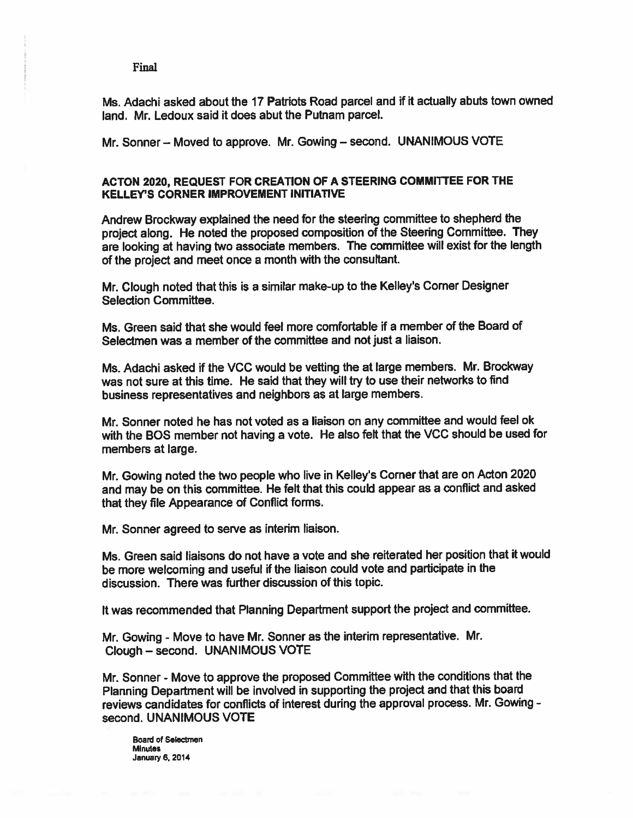**Final** 

Ms. Adachi asked about the 17 Patriots Road parcel and if it actually abuts town owned land. Mr. Ledoux said it does abut the Putnam parcel.

Mr. Sonner — Moved to approve. Mr. Gowing — second. UNANIMOUS VOTE

### ACTON 2020, REQUEST FOR CREATION OF <sup>A</sup> STEERING COMMITTEE FOR THE KELLEY'S CORNER IMPROVEMENT INITIATIVE

Andrew Brockway explained the need for the steering committee to shepherd the project along. He noted the propose<sup>d</sup> composition of the Steering Committee. They are looking at having two associate members. The committee will exist for the length of the project and meet once <sup>a</sup> month with the consultant.

Mr. Clough noted that this is <sup>a</sup> similar make-up to the Kelley's Corner Designer Selection Committee.

Ms. Green said that she would feel more comfortable if <sup>a</sup> member of the Board of Selectmen was <sup>a</sup> member of the committee and not just <sup>a</sup> liaison.

Ms. Adachi asked if the VCC would be vetting the at large members. Mr. Brockway was not sure at this time. He said that they will try to use their networks to find business representatives and neighbors as at large members,

Mr. Sonner noted he has not voted as <sup>a</sup> liaison on any committee and would feel ok with the BOS member not having <sup>a</sup> vote. He also felt that the VCC should be used for members at large.

Mr. Gowing noted the two people who live in Kelley's Corner that are on Acton <sup>2020</sup> and may be on this committee. He felt that this could appear as <sup>a</sup> conflict and asked that they file Appearance of Conflict forms.

Mr. Sonner agreed to serve as interim liaison.

Ms. Green said liaisons do not have a vote and she reiterated her position that it would be more welcoming and useful if the liaison could vote and participate in the discussion. There was further discussion of this topic.

It was recommended that Planning Department suppor<sup>t</sup> the project and committee.

Mr. Gowing - Move to have Mr. Sonner as the interim representative. Mr. Clough — second. UNANIMOUS VOTE

Mr. Sonner - Move to approve the propose<sup>d</sup> Committee with the conditions that the Planning Department will be involved in supporting the project and that this board reviews candidates for conflicts of interest during the approval process. Mr. Gowing second. UNANIMOUS VOTE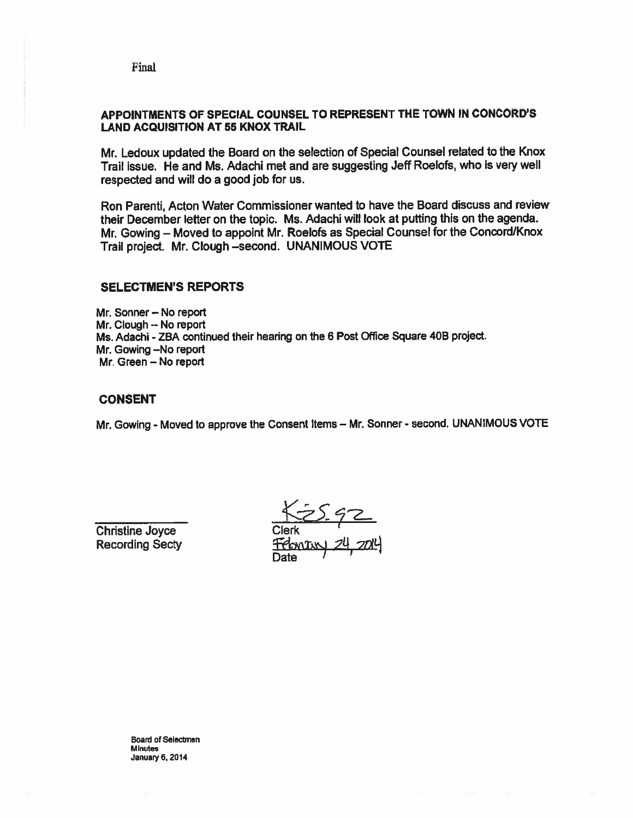Final

## APPOINTMENTS OF SPECIAL COUNSEL TO REPRESENT THE TOWN IN CONCORD'S LAND ACQUISITION AT 55 KNOX TRAIL

Mr. Ledoux updated the Board on the selection of Special Counsel related to the Knox Trail issue. He and Ms. Adachi met and are suggesting Jeff Roelofs, who is very well respected and will do <sup>a</sup> good job for us.

Ron Parenti, Acton Water Commissioner wanted to have the Board discuss and review their December letter on the topic. Ms. Adachi will look at putting this on the agenda. Mr. Cowing — Moved to appoint Mr. Roelofs as Special Counsel for the Concord/Knox Trail project. Mr. Clough —second. UNANIMOUS VOTE

### SELECTMEN'S REPORTS

Mr. Sonner — No repor<sup>t</sup> Mr. Clough -- No report Ms. Adachi - ZBA continued their hearing on the 6 Post Office Square 40B project. Mr. Cowing —No repor<sup>t</sup> Mr. Green — No repor<sup>t</sup>

### CONSENT

Mr. Gowing - Moved to approve the Consent Items - Mr. Sonner - second. UNANIMOUS VOTE

Christine Joyce Recording Secty

Clerk <u>, 24</u> 704 Date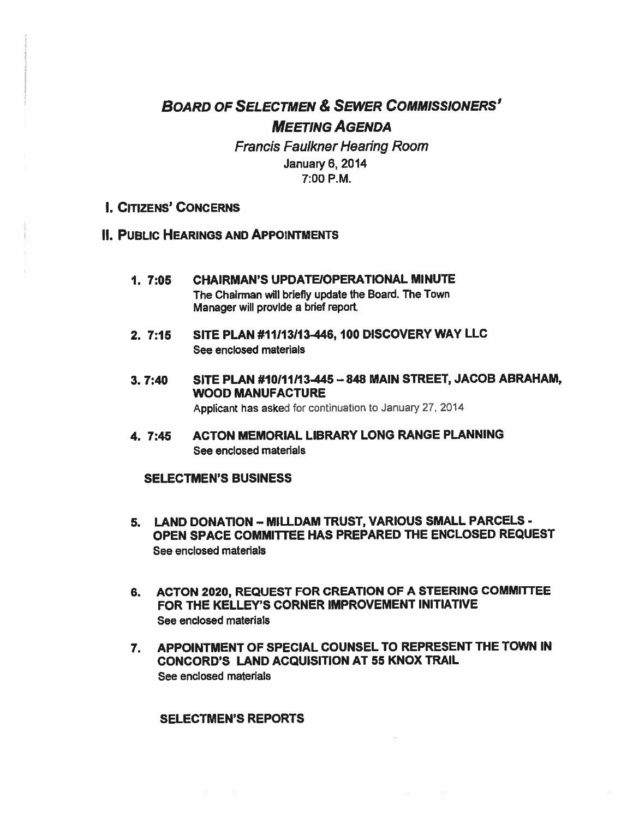# BOARD OF SELECTMEN & SEWER COMMISSIONERS' MEETING AGENDA

Francis Faulkner Hearing Room January 6, 2014 7:00 P.M.

- I. CITIZENS' CONCERNS
- **II. PUBLIC HEARINGS AND APPOINTMENTS** 
	- 1. 7:05 CHAIRMAN'S UPDATEIOPERATIONAL MINUTE The Chairman will briefly update the Board. The Town Manager will provide <sup>a</sup> brief report.
	- 2. 7:15 SITE PLAN #11113113-446, 100 DISCOVERY WAY LLC See enclosed materials
	- 3. 7:40 SITE PLAN #10111113445 —848 MAIN STREET, JACOB ABRAHAM, WOOD MANUFACTURE

Applicant has asked for continuation to January 27, 2014

4. 7:45 ACTON MEMORIAL LIBRARY LONG RANGE PLANNING See enclosed materials

## SELECTMEN'S BUSINESS

- 5. LAND DONATION MILLDAM TRUST, VARIOUS SMALL PARCELS -OPEN SPACE COMMITTEE HAS PREPARED THE ENCLOSED REQUEST See enclosed materials
- 6. ACTON 2020, REQUEST FOR CREATION OF A STEERING COMMITTEE FOR THE KELLEY'S CORNER IMPROVEMENT INITIATIVE See enclosed materials
- 7. APPOINTMENT OF SPECIAL COUNSEL TO REPRESENT THE TOWN IN CONCORD'S LAND ACQUISITION AT 55 KNOX TRAIL See enclosed materials

### SELECTMEN'S REPORTS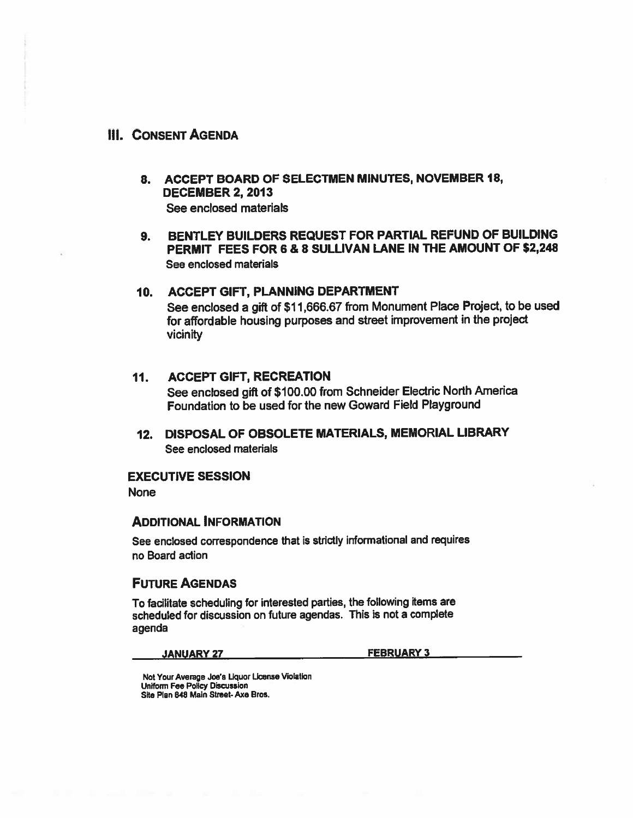## Ill. CONSENT AGENDA

- 8. ACCEPT BOARD OF SELECTMEN MINUTES, NOVEMBER 18, DECEMBER 2, 2013 See enclosed materials
- 9. BENTLEY BUILDERS REQUEST FOR PARTIAL REFUND OF BUILDING PERMIT FEES FOR 6 & 8 SULLIVAN LANE IN THE AMOUNT OF \$2,248 See enclosed materials

### 10. ACCEPT GIFT, PLANNING DEPARTMENT

See enclosed <sup>a</sup> <sup>g</sup>ift of \$11,666.67 from Monument Place Project, to be used for affordable housing purposes and street improvement in the project vicinity

## 11. ACCEPT GIFT, RECREATION See enclosed <sup>g</sup>ift of \$100.00 from Schneider Electric North America Foundation to be used for the new Goward Field Playground

12. DISPOSAL OF OBSOLETE MATERIALS, MEMORIAL LIBRARY See enclosed materials

### EXECUTIVE SESSION

None

### ADDITIONAL INFORMATION

See enclosed correspondence that is strictly informational and requires no Board action

## FUTURE AGENDAS

To facilitate scheduling for interested parties, the following items are scheduied for discussion on future agendas. This is not <sup>a</sup> complete agenda

#### JANUARY 27 FEBRUARY 3

Not Your Average Joe's Liquor License Violation Uniform Fee Policy Discussion Site Plan 848 Main Street- Axe Bros.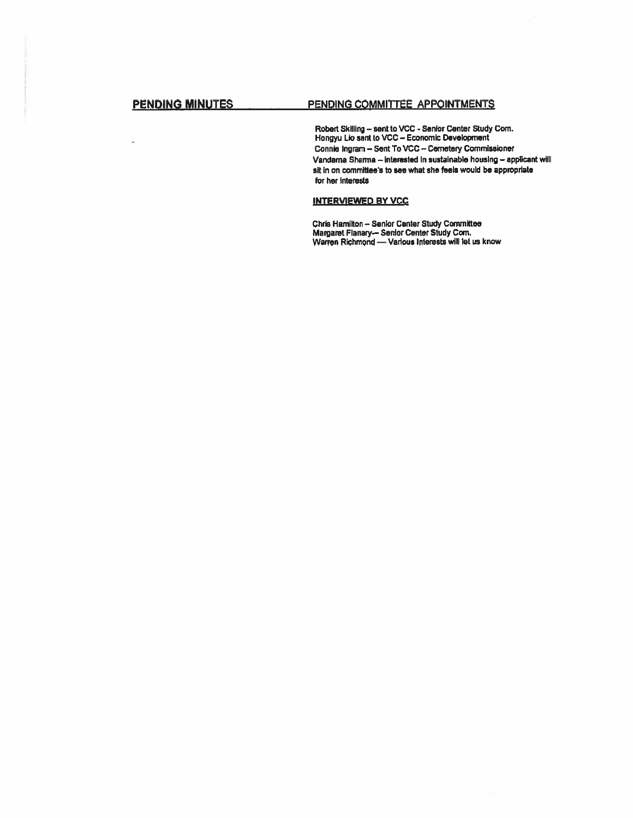j,

### PENDING MINUTES PENDING COMMITTEE APPOINTMENTS

Robert Skilling – sent to VCC - Senior Center Study Com. Hongyu Lio sent to VCC -- Economic Development Connie Ingram - Sent To VCC - Cemetery Commissioner Vandama Sharma — interested In sustainable housing — applicant will sit in on committee's to see what she feels would be appropriate for her interests

### INTERVIEWED BY VCC

Chris Hamilton — Senior Center Study Committee Margaret Fianary— Senior Center Study Corn. Warren Richmond —Various Interests will let us know